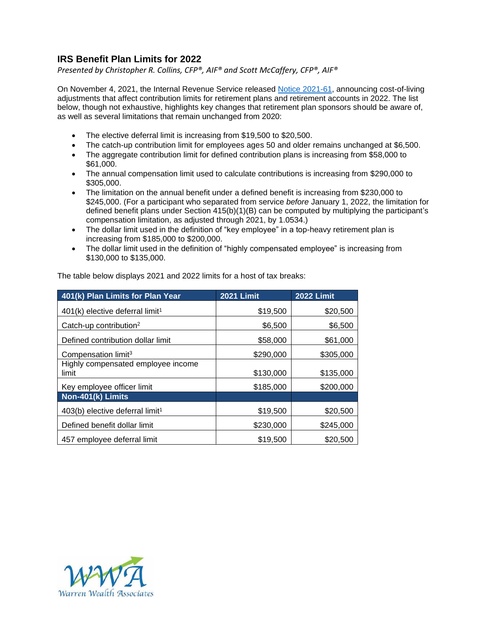## **IRS Benefit Plan Limits for 2022**

*Presented by Christopher R. Collins, CFP®, AIF® and Scott McCaffery, CFP®, AIF®*

On November 4, 2021, the Internal Revenue Service released [Notice 2021-61,](https://www.irs.gov/newsroom/irs-announces-401k-limit-increases-to-20500) announcing cost-of-living adjustments that affect contribution limits for retirement plans and retirement accounts in 2022. The list below, though not exhaustive, highlights key changes that retirement plan sponsors should be aware of, as well as several limitations that remain unchanged from 2020:

- The elective deferral limit is increasing from \$19,500 to \$20,500.
- The catch-up contribution limit for employees ages 50 and older remains unchanged at \$6,500.
- The aggregate contribution limit for defined contribution plans is increasing from \$58,000 to \$61,000.
- The annual compensation limit used to calculate contributions is increasing from \$290,000 to \$305,000.
- The limitation on the annual benefit under a defined benefit is increasing from \$230,000 to \$245,000. (For a participant who separated from service *before* January 1, 2022, the limitation for defined benefit plans under Section 415(b)(1)(B) can be computed by multiplying the participant's compensation limitation, as adjusted through 2021, by 1.0534.)
- The dollar limit used in the definition of "key employee" in a top-heavy retirement plan is increasing from \$185,000 to \$200,000.
- The dollar limit used in the definition of "highly compensated employee" is increasing from \$130,000 to \$135,000.

| 401(k) Plan Limits for Plan Year              | <b>2021 Limit</b> | <b>2022 Limit</b> |
|-----------------------------------------------|-------------------|-------------------|
| $401(k)$ elective deferral limit <sup>1</sup> | \$19,500          | \$20,500          |
| Catch-up contribution <sup>2</sup>            | \$6,500           | \$6,500           |
| Defined contribution dollar limit             | \$58,000          | \$61,000          |
| Compensation limit <sup>3</sup>               | \$290,000         | \$305,000         |
| Highly compensated employee income<br>limit   | \$130,000         | \$135,000         |
| Key employee officer limit                    | \$185,000         | \$200,000         |
| Non-401(k) Limits                             |                   |                   |
| $403(b)$ elective deferral limit <sup>1</sup> | \$19,500          | \$20,500          |
| Defined benefit dollar limit                  | \$230,000         | \$245,000         |
| 457 employee deferral limit                   | \$19,500          | \$20,500          |

The table below displays 2021 and 2022 limits for a host of tax breaks: